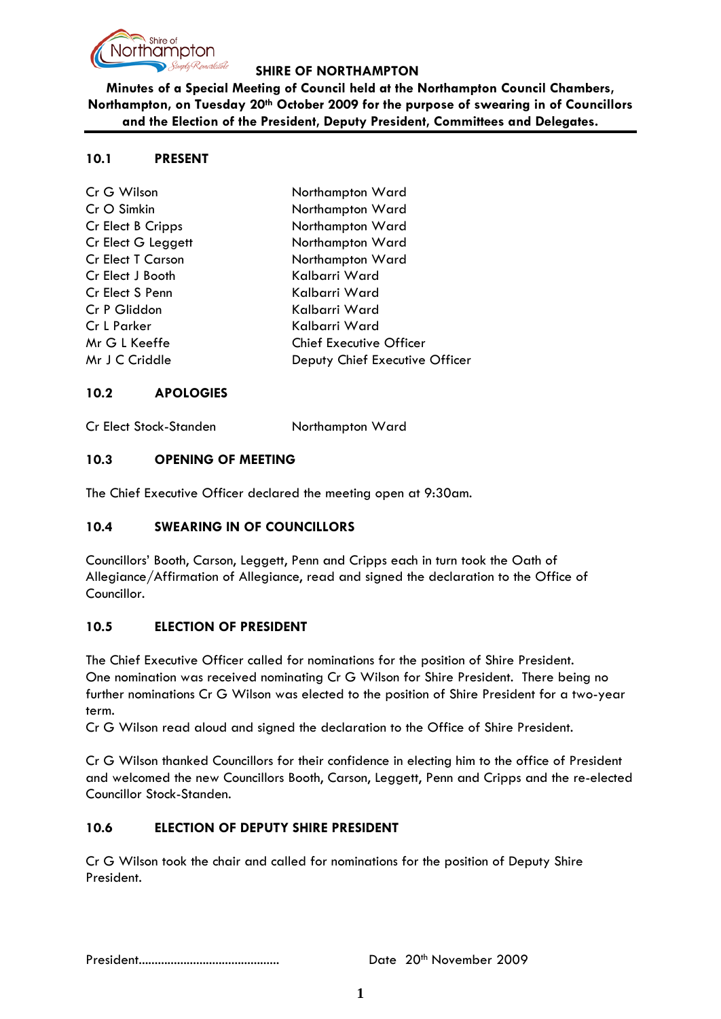

**Minutes of a Special Meeting of Council held at the Northampton Council Chambers, Northampton, on Tuesday 20th October 2009 for the purpose of swearing in of Councillors and the Election of the President, Deputy President, Committees and Delegates.**

#### **10.1 PRESENT**

| Cr G Wilson              | Northampton Ward               |
|--------------------------|--------------------------------|
| Cr O Simkin              | Northampton Ward               |
| Cr Elect B Cripps        | Northampton Ward               |
| Cr Elect G Leggett       | Northampton Ward               |
| <b>Cr Elect T Carson</b> | Northampton Ward               |
| Cr Elect J Booth         | Kalbarri Ward                  |
| Cr Elect S Penn          | Kalbarri Ward                  |
| Cr P Gliddon             | Kalbarri Ward                  |
| Cr L Parker              | Kalbarri Ward                  |
| Mr G L Keeffe            | <b>Chief Executive Officer</b> |
| Mr J C Criddle           | Deputy Chief Executive Officer |
|                          |                                |

## **10.2 APOLOGIES**

Cr Elect Stock-Standen Northampton Ward

#### **10.3 OPENING OF MEETING**

The Chief Executive Officer declared the meeting open at 9:30am.

## **10.4 SWEARING IN OF COUNCILLORS**

Councillors' Booth, Carson, Leggett, Penn and Cripps each in turn took the Oath of Allegiance/Affirmation of Allegiance, read and signed the declaration to the Office of Councillor.

## **10.5 ELECTION OF PRESIDENT**

The Chief Executive Officer called for nominations for the position of Shire President. One nomination was received nominating Cr G Wilson for Shire President. There being no further nominations Cr G Wilson was elected to the position of Shire President for a two-year term.

Cr G Wilson read aloud and signed the declaration to the Office of Shire President.

Cr G Wilson thanked Councillors for their confidence in electing him to the office of President and welcomed the new Councillors Booth, Carson, Leggett, Penn and Cripps and the re-elected Councillor Stock-Standen.

## **10.6 ELECTION OF DEPUTY SHIRE PRESIDENT**

Cr G Wilson took the chair and called for nominations for the position of Deputy Shire President.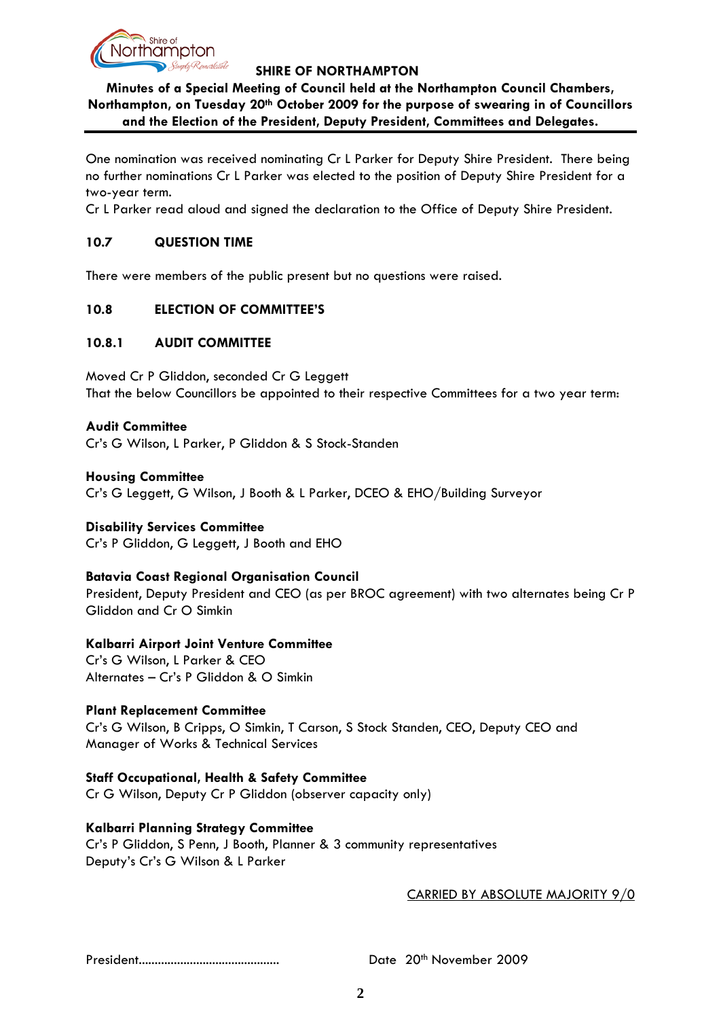

# **Minutes of a Special Meeting of Council held at the Northampton Council Chambers, Northampton, on Tuesday 20th October 2009 for the purpose of swearing in of Councillors and the Election of the President, Deputy President, Committees and Delegates.**

One nomination was received nominating Cr L Parker for Deputy Shire President. There being no further nominations Cr L Parker was elected to the position of Deputy Shire President for a two-year term.

Cr L Parker read aloud and signed the declaration to the Office of Deputy Shire President.

## **10.7 QUESTION TIME**

There were members of the public present but no questions were raised.

## **10.8 ELECTION OF COMMITTEE'S**

## **10.8.1 AUDIT COMMITTEE**

Moved Cr P Gliddon, seconded Cr G Leggett That the below Councillors be appointed to their respective Committees for a two year term:

#### **Audit Committee**

Cr's G Wilson, L Parker, P Gliddon & S Stock-Standen

**Housing Committee** Cr's G Leggett, G Wilson, J Booth & L Parker, DCEO & EHO/Building Surveyor

## **Disability Services Committee**

Cr's P Gliddon, G Leggett, J Booth and EHO

## **Batavia Coast Regional Organisation Council**

President, Deputy President and CEO (as per BROC agreement) with two alternates being Cr P Gliddon and Cr O Simkin

## **Kalbarri Airport Joint Venture Committee**

Cr's G Wilson, L Parker & CEO Alternates – Cr's P Gliddon & O Simkin

## **Plant Replacement Committee**

Cr's G Wilson, B Cripps, O Simkin, T Carson, S Stock Standen, CEO, Deputy CEO and Manager of Works & Technical Services

# **Staff Occupational, Health & Safety Committee**

Cr G Wilson, Deputy Cr P Gliddon (observer capacity only)

## **Kalbarri Planning Strategy Committee**

Cr's P Gliddon, S Penn, J Booth, Planner & 3 community representatives Deputy's Cr's G Wilson & L Parker

## CARRIED BY ABSOLUTE MAJORITY 9/0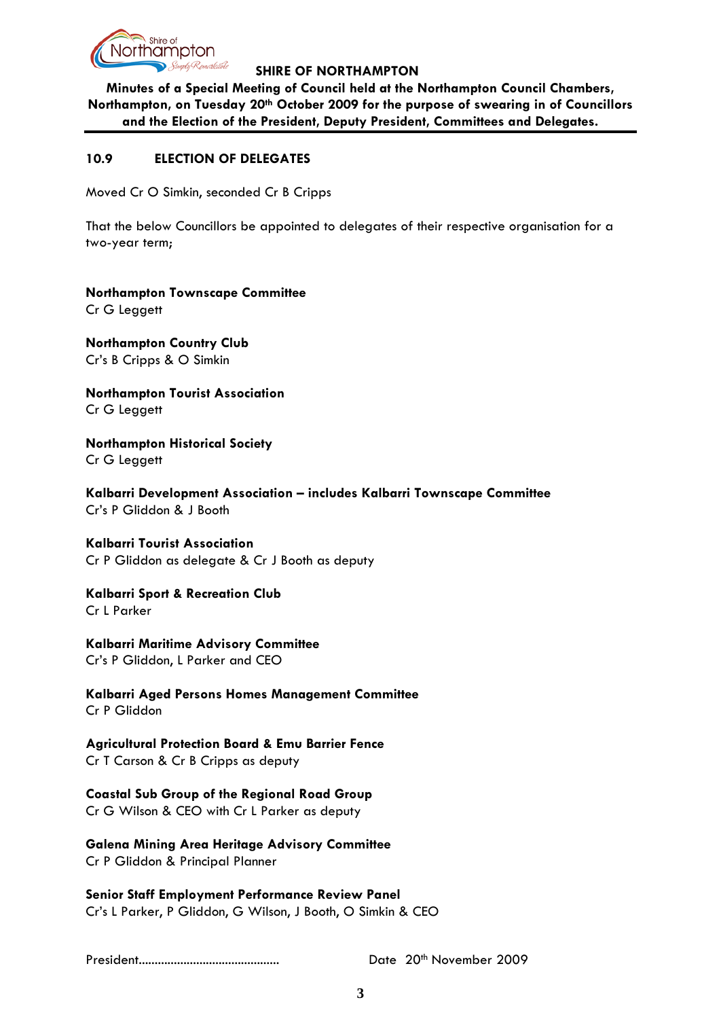

**Minutes of a Special Meeting of Council held at the Northampton Council Chambers, Northampton, on Tuesday 20th October 2009 for the purpose of swearing in of Councillors and the Election of the President, Deputy President, Committees and Delegates.**

## **10.9 ELECTION OF DELEGATES**

Moved Cr O Simkin, seconded Cr B Cripps

That the below Councillors be appointed to delegates of their respective organisation for a two-year term;

**Northampton Townscape Committee** Cr G Leggett

**Northampton Country Club** Cr's B Cripps & O Simkin

**Northampton Tourist Association** Cr G Leggett

**Northampton Historical Society** Cr G Leggett

**Kalbarri Development Association – includes Kalbarri Townscape Committee** Cr's P Gliddon & J Booth

## **Kalbarri Tourist Association**

Cr P Gliddon as delegate & Cr J Booth as deputy

# **Kalbarri Sport & Recreation Club**

Cr L Parker

**Kalbarri Maritime Advisory Committee** Cr's P Gliddon, L Parker and CEO

**Kalbarri Aged Persons Homes Management Committee** Cr P Gliddon

**Agricultural Protection Board & Emu Barrier Fence** Cr T Carson & Cr B Cripps as deputy

**Coastal Sub Group of the Regional Road Group** Cr G Wilson & CEO with Cr L Parker as deputy

**Galena Mining Area Heritage Advisory Committee** Cr P Gliddon & Principal Planner

**Senior Staff Employment Performance Review Panel** Cr's L Parker, P Gliddon, G Wilson, J Booth, O Simkin & CEO